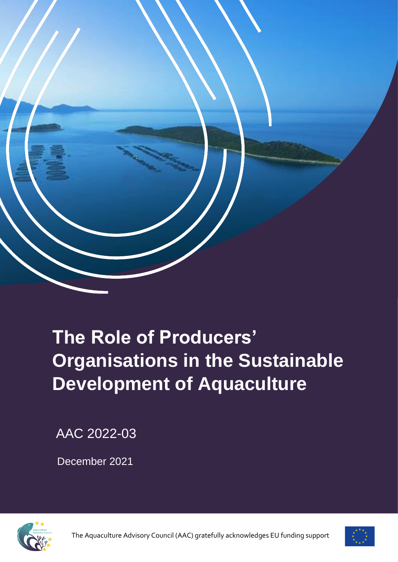

# **The Role of Producers' Organisations in the Sustainable Development of Aquaculture**

AAC 2022-03

December 2021



The Aquaculture Advisory Council (AAC) gratefully acknowledges EU funding support

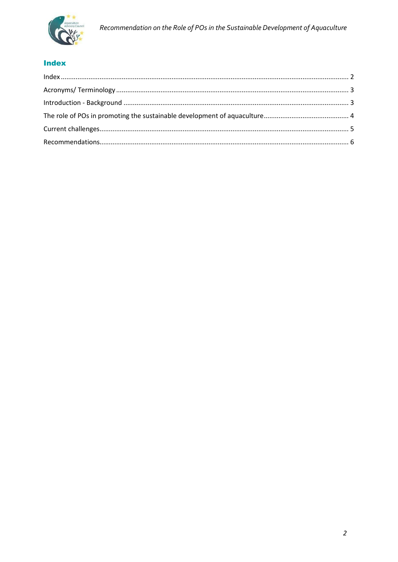

# <span id="page-1-0"></span>**Index**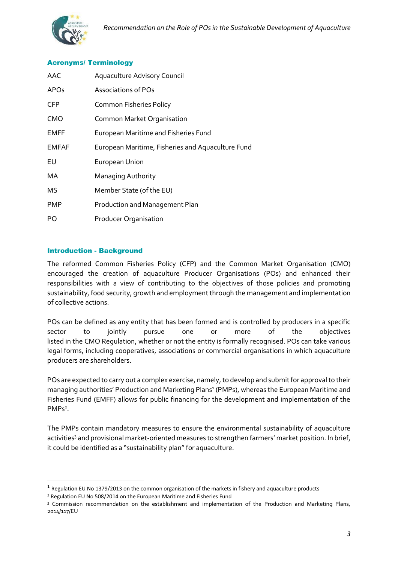

#### <span id="page-2-0"></span>Acronyms/ Terminology

| AAC          | <b>Aquaculture Advisory Council</b>               |
|--------------|---------------------------------------------------|
| <b>APOs</b>  | Associations of POs                               |
| <b>CFP</b>   | <b>Common Fisheries Policy</b>                    |
| <b>CMO</b>   | Common Market Organisation                        |
| <b>EMFF</b>  | European Maritime and Fisheries Fund              |
| <b>EMFAF</b> | European Maritime, Fisheries and Aquaculture Fund |
| EU           | European Union                                    |
| МA           | Managing Authority                                |
| MS           | Member State (of the EU)                          |
| <b>PMP</b>   | Production and Management Plan                    |
| PO           | <b>Producer Organisation</b>                      |

#### <span id="page-2-1"></span>Introduction - Background

The reformed Common Fisheries Policy (CFP) and the Common Market Organisation (CMO) encouraged the creation of aquaculture Producer Organisations (POs) and enhanced their responsibilities with a view of contributing to the objectives of those policies and promoting sustainability, food security, growth and employment through the management and implementation of collective actions.

POs can be defined as any entity that has been formed and is controlled by producers in a specific sector to jointly pursue one or more of the objectives listed in the CMO Regulation, whether or not the entity is formally recognised. POs can take various legal forms, including cooperatives, associations or commercial organisations in which aquaculture producers are shareholders.

POs are expected to carry out a complex exercise, namely, to develop and submit for approval to their managing authorities' Production and Marketing Plans<sup>1</sup> (PMPs), whereas the European Maritime and Fisheries Fund (EMFF) allows for public financing for the development and implementation of the PMPs<sup>2</sup>.

The PMPs contain mandatory measures to ensure the environmental sustainability of aquaculture activities<sup>3</sup> and provisional market-oriented measures to strengthen farmers' market position. In brief, it could be identified as a "sustainability plan" for aquaculture.

 $<sup>1</sup>$  Regulation EU No 1379/2013 on the common organisation of the markets in fishery and aquaculture products</sup>

<sup>2</sup> Regulation EU No 508/2014 on the European Maritime and Fisheries Fund

<sup>3</sup> Commission recommendation on the establishment and implementation of the Production and Marketing Plans, 2014/117/EU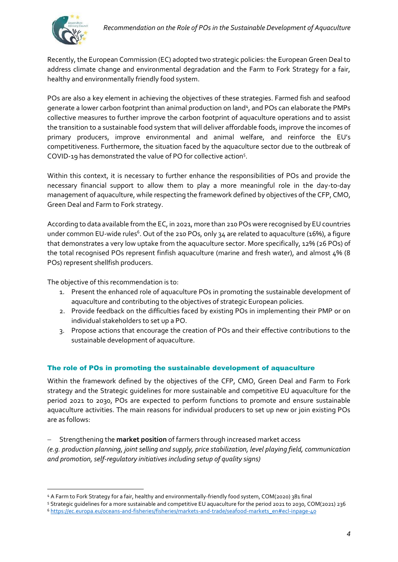Recently, the European Commission (EC) adopted two strategic policies: the European Green Deal to address climate change and environmental degradation and the Farm to Fork Strategy for a fair, healthy and environmentally friendly food system.

POs are also a key element in achieving the objectives of these strategies. Farmed fish and seafood generate a lower carbon footprint than animal production on land<sup>4</sup>, and POs can elaborate the PMPs collective measures to further improve the carbon footprint of aquaculture operations and to assist the transition to a sustainable food system that will deliver affordable foods, improve the incomes of primary producers, improve environmental and animal welfare, and reinforce the EU's competitiveness. Furthermore, the situation faced by the aquaculture sector due to the outbreak of COVID-19 has demonstrated the value of PO for collective action<sup>5</sup> .

Within this context, it is necessary to further enhance the responsibilities of POs and provide the necessary financial support to allow them to play a more meaningful role in the day-to-day management of aquaculture, while respecting the framework defined by objectives of the CFP, CMO, Green Deal and Farm to Fork strategy.

According to data available from the EC, in 2021, more than 210 POs were recognised by EU countries under common EU-wide rules<sup>6</sup>. Out of the 210 POs, only 34 are related to aquaculture (16%), a figure that demonstrates a very low uptake from the aquaculture sector. More specifically, 12% (26 POs) of the total recognised POs represent finfish aquaculture (marine and fresh water), and almost 4% (8 POs) represent shellfish producers.

The objective of this recommendation is to:

- 1. Present the enhanced role of aquaculture POs in promoting the sustainable development of aquaculture and contributing to the objectives of strategic European policies.
- 2. Provide feedback on the difficulties faced by existing POs in implementing their PMP or on individual stakeholders to set up a PO.
- 3. Propose actions that encourage the creation of POs and their effective contributions to the sustainable development of aquaculture.

## <span id="page-3-0"></span>The role of POs in promoting the sustainable development of aquaculture

Within the framework defined by the objectives of the CFP, CMO, Green Deal and Farm to Fork strategy and the Strategic guidelines for more sustainable and competitive EU aquaculture for the period 2021 to 2030, POs are expected to perform functions to promote and ensure sustainable aquaculture activities. The main reasons for individual producers to set up new or join existing POs are as follows:

− Strengthening the **market position** of farmers through increased market access

*(e.g. production planning, joint selling and supply, price stabilization, level playing field, communication and promotion, self-regulatory initiatives including setup of quality signs)*

<sup>4</sup> A Farm to Fork Strategy for a fair, healthy and environmentally-friendly food system, COM(2020) 381 final

<sup>5</sup> Strategic guidelines for a more sustainable and competitive EU aquaculture for the period 2021 to 2030, COM(2021) 236 <sup>6</sup> [https://ec.europa.eu/oceans-and-fisheries/fisheries/markets-and-trade/seafood-markets\\_en#ecl-inpage-40](https://ec.europa.eu/oceans-and-fisheries/fisheries/markets-and-trade/seafood-markets_en#ecl-inpage-40)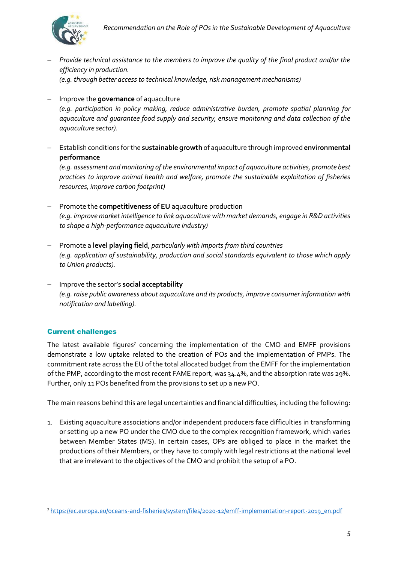

*aquaculture sector).*

− *Provide technical assistance to the members to improve the quality of the final product and/or the efficiency in production. (e.g. through better access to technical knowledge, risk management mechanisms)* 

− Improve the **governance** of aquaculture *(e.g. participation in policy making, reduce administrative burden, promote spatial planning for aquaculture and guarantee food supply and security, ensure monitoring and data collection of the* 

− Establish conditions for the **sustainable growth** of aquaculture through improved **environmental performance**

*(e.g. assessment and monitoring of the environmental impact of aquaculture activities, promote best practices to improve animal health and welfare, promote the sustainable exploitation of fisheries resources, improve carbon footprint)*

- − Promote the **competitiveness of EU** aquaculture production *(e.g. improve market intelligence to link aquaculture with market demands, engage in R&D activities to shape a high-performance aquaculture industry)*
- − Promote a **level playing field**, *particularly with imports from third countries (e.g. application of sustainability, production and social standards equivalent to those which apply to Union products).*
- − Improve the sector's **social acceptability**  *(e.g. raise public awareness about aquaculture and its products, improve consumer information with notification and labelling).*

## <span id="page-4-0"></span>Current challenges

The latest available figures<sup>7</sup> concerning the implementation of the CMO and EMFF provisions demonstrate a low uptake related to the creation of POs and the implementation of PMPs. The commitment rate across the EU of the total allocated budget from the EMFF for the implementation of the PMP, according to the most recent FAME report, was 34.4%, and the absorption rate was 29%. Further, only 11 POs benefited from the provisions to set up a new PO.

The main reasons behind this are legal uncertainties and financial difficulties, including the following:

1. Existing aquaculture associations and/or independent producers face difficulties in transforming or setting up a new PO under the CMO due to the complex recognition framework, which varies between Member States (MS). In certain cases, OPs are obliged to place in the market the productions of their Members, or they have to comply with legal restrictions at the national level that are irrelevant to the objectives of the CMO and prohibit the setup of a PO.

<sup>7</sup> [https://ec.europa.eu/oceans-and-fisheries/system/files/2020-12/emff-implementation-report-2019\\_en.pdf](https://ec.europa.eu/oceans-and-fisheries/system/files/2020-12/emff-implementation-report-2019_en.pdf)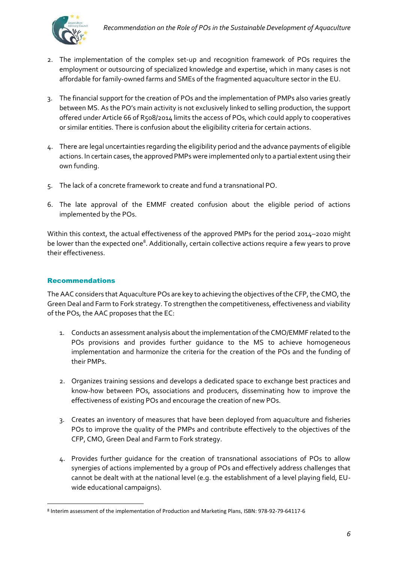

- 2. The implementation of the complex set-up and recognition framework of POs requires the employment or outsourcing of specialized knowledge and expertise, which in many cases is not affordable for family-owned farms and SMEs of the fragmented aquaculture sector in the EU.
- 3. The financial support for the creation of POs and the implementation of PMPs also varies greatly between MS. As the PO's main activity is not exclusively linked to selling production, the support offered under Article 66 of R508/2014 limits the access of POs, which could apply to cooperatives or similar entities. There is confusion about the eligibility criteria for certain actions.
- 4. There are legal uncertainties regarding the eligibility period and the advance payments of eligible actions. In certain cases, the approved PMPs were implemented only to a partial extent using their own funding.
- 5. The lack of a concrete framework to create and fund a transnational PO.
- 6. The late approval of the EMMF created confusion about the eligible period of actions implemented by the POs.

Within this context, the actual effectiveness of the approved PMPs for the period 2014–2020 might be lower than the expected one<sup>8</sup>. Additionally, certain collective actions require a few years to prove their effectiveness.

#### <span id="page-5-0"></span>Recommendations

The AAC considers that Aquaculture POs are key to achieving the objectives of the CFP, the CMO, the Green Deal and Farm to Fork strategy. To strengthen the competitiveness, effectiveness and viability of the POs, the AAC proposes that the EC:

- 1. Conducts an assessment analysis about the implementation of the CMO/EMMF related to the POs provisions and provides further guidance to the MS to achieve homogeneous implementation and harmonize the criteria for the creation of the POs and the funding of their PMPs.
- 2. Organizes training sessions and develops a dedicated space to exchange best practices and know-how between POs, associations and producers, disseminating how to improve the effectiveness of existing POs and encourage the creation of new POs.
- 3. Creates an inventory of measures that have been deployed from aquaculture and fisheries POs to improve the quality of the PMPs and contribute effectively to the objectives of the CFP, CMO, Green Deal and Farm to Fork strategy.
- 4. Provides further guidance for the creation of transnational associations of POs to allow synergies of actions implemented by a group of POs and effectively address challenges that cannot be dealt with at the national level (e.g. the establishment of a level playing field, EUwide educational campaigns).

<sup>8</sup> Interim assessment of the implementation of Production and Marketing Plans, ISBN: 978-92-79-64117-6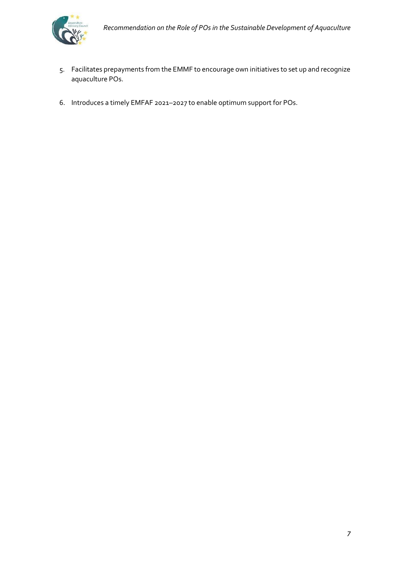

- 5. Facilitates prepayments from the EMMF to encourage own initiatives to set up and recognize aquaculture POs.
- 6. Introduces a timely EMFAF 2021–2027 to enable optimum support for POs.